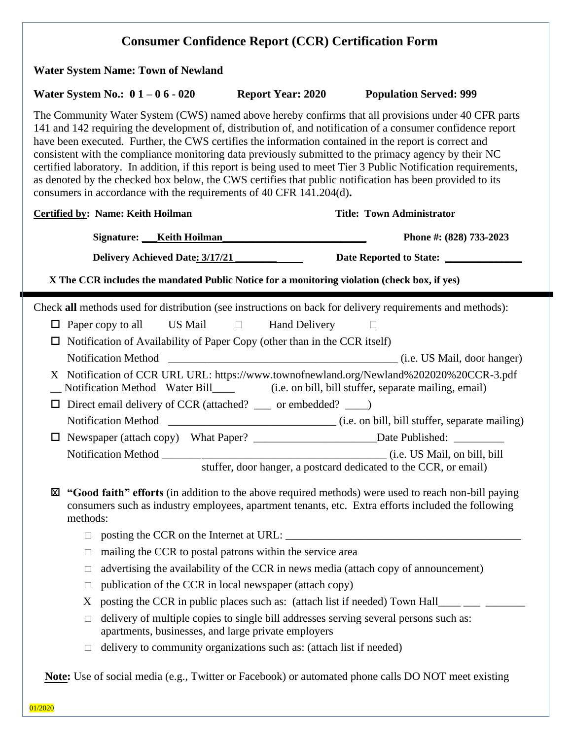| <b>Water System Name: Town of Newland</b>                                                                                                                                                                                                                                                                                                                                                                                                                                                                                                                                                                                                                                                                                                   |                                                                                                                                              |                                                                                                                                                                                                           |
|---------------------------------------------------------------------------------------------------------------------------------------------------------------------------------------------------------------------------------------------------------------------------------------------------------------------------------------------------------------------------------------------------------------------------------------------------------------------------------------------------------------------------------------------------------------------------------------------------------------------------------------------------------------------------------------------------------------------------------------------|----------------------------------------------------------------------------------------------------------------------------------------------|-----------------------------------------------------------------------------------------------------------------------------------------------------------------------------------------------------------|
| Water System No.: $01 - 06 - 020$                                                                                                                                                                                                                                                                                                                                                                                                                                                                                                                                                                                                                                                                                                           | <b>Report Year: 2020</b>                                                                                                                     | <b>Population Served: 999</b>                                                                                                                                                                             |
| The Community Water System (CWS) named above hereby confirms that all provisions under 40 CFR parts<br>141 and 142 requiring the development of, distribution of, and notification of a consumer confidence report<br>have been executed. Further, the CWS certifies the information contained in the report is correct and<br>consistent with the compliance monitoring data previously submitted to the primacy agency by their NC<br>certified laboratory. In addition, if this report is being used to meet Tier 3 Public Notification requirements,<br>as denoted by the checked box below, the CWS certifies that public notification has been provided to its<br>consumers in accordance with the requirements of 40 CFR 141.204(d). |                                                                                                                                              |                                                                                                                                                                                                           |
| <b>Certified by: Name: Keith Hoilman</b>                                                                                                                                                                                                                                                                                                                                                                                                                                                                                                                                                                                                                                                                                                    |                                                                                                                                              | <b>Title: Town Administrator</b>                                                                                                                                                                          |
| Signature: Keith Hoilman                                                                                                                                                                                                                                                                                                                                                                                                                                                                                                                                                                                                                                                                                                                    |                                                                                                                                              | Phone #: (828) 733-2023                                                                                                                                                                                   |
| Delivery Achieved Date: 3/17/21                                                                                                                                                                                                                                                                                                                                                                                                                                                                                                                                                                                                                                                                                                             |                                                                                                                                              | Date Reported to State: ____________                                                                                                                                                                      |
| X The CCR includes the mandated Public Notice for a monitoring violation (check box, if yes)                                                                                                                                                                                                                                                                                                                                                                                                                                                                                                                                                                                                                                                |                                                                                                                                              |                                                                                                                                                                                                           |
| Check all methods used for distribution (see instructions on back for delivery requirements and methods):                                                                                                                                                                                                                                                                                                                                                                                                                                                                                                                                                                                                                                   |                                                                                                                                              |                                                                                                                                                                                                           |
| $\Box$ Paper copy to all US Mail $\Box$                                                                                                                                                                                                                                                                                                                                                                                                                                                                                                                                                                                                                                                                                                     | <b>Hand Delivery</b>                                                                                                                         |                                                                                                                                                                                                           |
| Notification of Availability of Paper Copy (other than in the CCR itself)<br>$\Box$                                                                                                                                                                                                                                                                                                                                                                                                                                                                                                                                                                                                                                                         |                                                                                                                                              |                                                                                                                                                                                                           |
|                                                                                                                                                                                                                                                                                                                                                                                                                                                                                                                                                                                                                                                                                                                                             |                                                                                                                                              |                                                                                                                                                                                                           |
|                                                                                                                                                                                                                                                                                                                                                                                                                                                                                                                                                                                                                                                                                                                                             |                                                                                                                                              | X Notification of CCR URL URL: https://www.townofnewland.org/Newland%202020%20CCR-3.pdf                                                                                                                   |
| □ Direct email delivery of CCR (attached? __ or embedded? __)                                                                                                                                                                                                                                                                                                                                                                                                                                                                                                                                                                                                                                                                               |                                                                                                                                              |                                                                                                                                                                                                           |
|                                                                                                                                                                                                                                                                                                                                                                                                                                                                                                                                                                                                                                                                                                                                             |                                                                                                                                              |                                                                                                                                                                                                           |
|                                                                                                                                                                                                                                                                                                                                                                                                                                                                                                                                                                                                                                                                                                                                             |                                                                                                                                              |                                                                                                                                                                                                           |
| Notification Method_                                                                                                                                                                                                                                                                                                                                                                                                                                                                                                                                                                                                                                                                                                                        |                                                                                                                                              | (i.e. US Mail, on bill, bill                                                                                                                                                                              |
|                                                                                                                                                                                                                                                                                                                                                                                                                                                                                                                                                                                                                                                                                                                                             |                                                                                                                                              | stuffer, door hanger, a postcard dedicated to the CCR, or email)                                                                                                                                          |
| ⊠<br>methods:                                                                                                                                                                                                                                                                                                                                                                                                                                                                                                                                                                                                                                                                                                                               |                                                                                                                                              | "Good faith" efforts (in addition to the above required methods) were used to reach non-bill paying<br>consumers such as industry employees, apartment tenants, etc. Extra efforts included the following |
|                                                                                                                                                                                                                                                                                                                                                                                                                                                                                                                                                                                                                                                                                                                                             |                                                                                                                                              |                                                                                                                                                                                                           |
| $\Box$                                                                                                                                                                                                                                                                                                                                                                                                                                                                                                                                                                                                                                                                                                                                      |                                                                                                                                              |                                                                                                                                                                                                           |
| $\Box$                                                                                                                                                                                                                                                                                                                                                                                                                                                                                                                                                                                                                                                                                                                                      | mailing the CCR to postal patrons within the service area                                                                                    |                                                                                                                                                                                                           |
| ⊔                                                                                                                                                                                                                                                                                                                                                                                                                                                                                                                                                                                                                                                                                                                                           |                                                                                                                                              | advertising the availability of the CCR in news media (attach copy of announcement)                                                                                                                       |
| $\Box$                                                                                                                                                                                                                                                                                                                                                                                                                                                                                                                                                                                                                                                                                                                                      | publication of the CCR in local newspaper (attach copy)                                                                                      |                                                                                                                                                                                                           |
| X                                                                                                                                                                                                                                                                                                                                                                                                                                                                                                                                                                                                                                                                                                                                           |                                                                                                                                              | posting the CCR in public places such as: (attach list if needed) Town Hall____ __                                                                                                                        |
| $\Box$                                                                                                                                                                                                                                                                                                                                                                                                                                                                                                                                                                                                                                                                                                                                      | delivery of multiple copies to single bill addresses serving several persons such as:<br>apartments, businesses, and large private employers |                                                                                                                                                                                                           |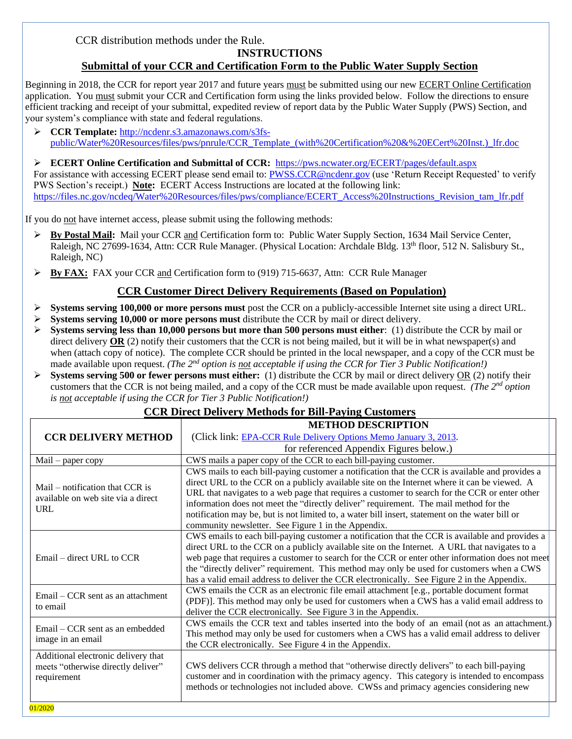CCR distribution methods under the Rule.

# **INSTRUCTIONS**

# **Submittal of your CCR and Certification Form to the Public Water Supply Section**

Beginning in 2018, the CCR for report year 2017 and future years must be submitted using our new ECERT Online Certification application. You must submit your CCR and Certification form using the links provided below. Follow the directions to ensure efficient tracking and receipt of your submittal, expedited review of report data by the Public Water Supply (PWS) Section, and your system's compliance with state and federal regulations.

➢ **CCR Template:** [http://ncdenr.s3.amazonaws.com/s3fs](http://ncdenr.s3.amazonaws.com/s3fs-public/Water%20Resources/files/pws/pnrule/CCR_Template_(with%20Certification%20&%20ECert%20Inst.)_lfr.doc)[public/Water%20Resources/files/pws/pnrule/CCR\\_Template\\_\(with%20Certification%20&%20ECert%20Inst.\)\\_lfr.doc](http://ncdenr.s3.amazonaws.com/s3fs-public/Water%20Resources/files/pws/pnrule/CCR_Template_(with%20Certification%20&%20ECert%20Inst.)_lfr.doc)

➢ **ECERT Online Certification and Submittal of CCR:** <https://pws.ncwater.org/ECERT/pages/default.aspx> For assistance with accessing ECERT please send email to: [PWSS.CCR@ncdenr.gov](mailto:PWSS.CCR@ncdenr.gov) (use 'Return Receipt Requested' to verify PWS Section's receipt.) **Note:** ECERT Access Instructions are located at the following link: [https://files.nc.gov/ncdeq/Water%20Resources/files/pws/compliance/ECERT\\_Access%20Instructions\\_Revision\\_tam\\_lfr.pdf](https://files.nc.gov/ncdeq/Water%20Resources/files/pws/compliance/ECERT_Access%20Instructions_Revision_tam_lfr.pdf)

If you do not have internet access, please submit using the following methods:

- ➢ **By Postal Mail:** Mail your CCR and Certification form to: Public Water Supply Section, 1634 Mail Service Center, Raleigh, NC 27699-1634, Attn: CCR Rule Manager. (Physical Location: Archdale Bldg. 13<sup>th</sup> floor, 512 N. Salisbury St., Raleigh, NC)
- ➢ **By FAX:** FAX your CCR and Certification form to (919) 715-6637, Attn: CCR Rule Manager

# **CCR Customer Direct Delivery Requirements (Based on Population)**

- ➢ **Systems serving 100,000 or more persons must** post the CCR on a publicly-accessible Internet site using a direct URL.
- ➢ **Systems serving 10,000 or more persons must** distribute the CCR by mail or direct delivery.
- ➢ **Systems serving less than 10,000 persons but more than 500 persons must either**: (1) distribute the CCR by mail or direct delivery **OR** (2) notify their customers that the CCR is not being mailed, but it will be in what newspaper(s) and when (attach copy of notice). The complete CCR should be printed in the local newspaper, and a copy of the CCR must be made available upon request. *(The 2nd option is not acceptable if using the CCR for Tier 3 Public Notification!)*
- ➢ **Systems serving 500 or fewer persons must either:** (1) distribute the CCR by mail or direct delivery OR (2) notify their customers that the CCR is not being mailed, and a copy of the CCR must be made available upon request. *(The 2nd option is not acceptable if using the CCR for Tier 3 Public Notification!)*

# **CCR Direct Delivery Methods for Bill-Paying Customers**

|                                     | <b>METHOD DESCRIPTION</b>                                                                        |  |
|-------------------------------------|--------------------------------------------------------------------------------------------------|--|
| <b>CCR DELIVERY METHOD</b>          | (Click link: EPA-CCR Rule Delivery Options Memo January 3, 2013.                                 |  |
|                                     | for referenced Appendix Figures below.)                                                          |  |
| $Mail$ – paper copy                 | CWS mails a paper copy of the CCR to each bill-paying customer.                                  |  |
|                                     | CWS mails to each bill-paying customer a notification that the CCR is available and provides a   |  |
| Mail – notification that CCR is     | direct URL to the CCR on a publicly available site on the Internet where it can be viewed. A     |  |
| available on web site via a direct  | URL that navigates to a web page that requires a customer to search for the CCR or enter other   |  |
| URL                                 | information does not meet the "directly deliver" requirement. The mail method for the            |  |
|                                     | notification may be, but is not limited to, a water bill insert, statement on the water bill or  |  |
|                                     | community newsletter. See Figure 1 in the Appendix.                                              |  |
|                                     | CWS emails to each bill-paying customer a notification that the CCR is available and provides a  |  |
|                                     | direct URL to the CCR on a publicly available site on the Internet. A URL that navigates to a    |  |
| Email – direct URL to $CCR$         | web page that requires a customer to search for the CCR or enter other information does not meet |  |
|                                     | the "directly deliver" requirement. This method may only be used for customers when a CWS        |  |
|                                     | has a valid email address to deliver the CCR electronically. See Figure 2 in the Appendix.       |  |
| Email – CCR sent as an attachment   | CWS emails the CCR as an electronic file email attachment [e.g., portable document format        |  |
| to email                            | (PDF). This method may only be used for customers when a CWS has a valid email address to        |  |
|                                     | deliver the CCR electronically. See Figure 3 in the Appendix.                                    |  |
| Email – CCR sent as an embedded     | CWS emails the CCR text and tables inserted into the body of an email (not as an attachment.)    |  |
| image in an email                   | This method may only be used for customers when a CWS has a valid email address to deliver       |  |
|                                     | the CCR electronically. See Figure 4 in the Appendix.                                            |  |
| Additional electronic delivery that |                                                                                                  |  |
| meets "otherwise directly deliver"  | CWS delivers CCR through a method that "otherwise directly delivers" to each bill-paying         |  |
| requirement                         | customer and in coordination with the primacy agency. This category is intended to encompass     |  |
|                                     | methods or technologies not included above. CWSs and primacy agencies considering new            |  |
| $\alpha + \beta + \gamma + \gamma$  |                                                                                                  |  |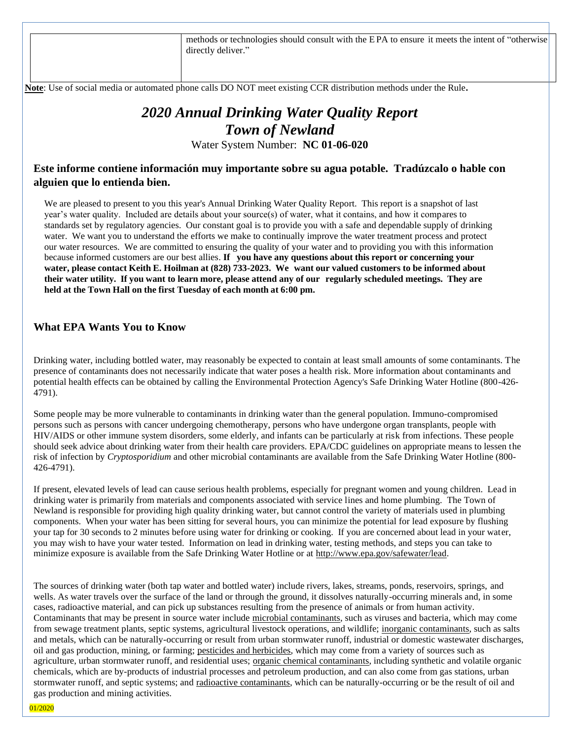methods or technologies should consult with the E PA to ensure it meets the intent of "otherwise directly deliver."

 **Note**: Use of social media or automated phone calls DO NOT meet existing CCR distribution methods under the Rule**.**

# *2020 Annual Drinking Water Quality Report Town of Newland*

Water System Number: **NC 01-06-020**

# **Este informe contiene información muy importante sobre su agua potable. Tradúzcalo o hable con alguien que lo entienda bien.**

We are pleased to present to you this year's Annual Drinking Water Quality Report. This report is a snapshot of last year's water quality. Included are details about your source(s) of water, what it contains, and how it compares to standards set by regulatory agencies. Our constant goal is to provide you with a safe and dependable supply of drinking water. We want you to understand the efforts we make to continually improve the water treatment process and protect our water resources. We are committed to ensuring the quality of your water and to providing you with this information because informed customers are our best allies. **If you have any questions about this report or concerning your** water, please contact Keith E. Hoilman at (828) 733-2023. We want our valued customers to be informed about their water utility. If you want to learn more, please attend any of our regularly scheduled meetings. They are **held at the Town Hall on the first Tuesday of each month at 6:00 pm.**

## **What EPA Wants You to Know**

Drinking water, including bottled water, may reasonably be expected to contain at least small amounts of some contaminants. The presence of contaminants does not necessarily indicate that water poses a health risk. More information about contaminants and potential health effects can be obtained by calling the Environmental Protection Agency's Safe Drinking Water Hotline (800-426- 4791).

Some people may be more vulnerable to contaminants in drinking water than the general population. Immuno-compromised persons such as persons with cancer undergoing chemotherapy, persons who have undergone organ transplants, people with HIV/AIDS or other immune system disorders, some elderly, and infants can be particularly at risk from infections. These people should seek advice about drinking water from their health care providers. EPA/CDC guidelines on appropriate means to lessen the risk of infection by *Cryptosporidium* and other microbial contaminants are available from the Safe Drinking Water Hotline (800- 426-4791).

If present, elevated levels of lead can cause serious health problems, especially for pregnant women and young children. Lead in drinking water is primarily from materials and components associated with service lines and home plumbing. The Town of Newland is responsible for providing high quality drinking water, but cannot control the variety of materials used in plumbing components. When your water has been sitting for several hours, you can minimize the potential for lead exposure by flushing your tap for 30 seconds to 2 minutes before using water for drinking or cooking. If you are concerned about lead in your water, you may wish to have your water tested. Information on lead in drinking water, testing methods, and steps you can take to minimize exposure is available from the Safe Drinking Water Hotline or at [http://www.epa.gov/safewater/lead.](http://www.epa.gov/safewater/lead)

The sources of drinking water (both tap water and bottled water) include rivers, lakes, streams, ponds, reservoirs, springs, and wells. As water travels over the surface of the land or through the ground, it dissolves naturally-occurring minerals and, in some cases, radioactive material, and can pick up substances resulting from the presence of animals or from human activity. Contaminants that may be present in source water include microbial contaminants, such as viruses and bacteria, which may come from sewage treatment plants, septic systems, agricultural livestock operations, and wildlife; inorganic contaminants, such as salts and metals, which can be naturally-occurring or result from urban stormwater runoff, industrial or domestic wastewater discharges, oil and gas production, mining, or farming; pesticides and herbicides, which may come from a variety of sources such as agriculture, urban stormwater runoff, and residential uses; **organic chemical contaminants**, including synthetic and volatile organic chemicals, which are by-products of industrial processes and petroleum production, and can also come from gas stations, urban stormwater runoff, and septic systems; and radioactive contaminants, which can be naturally-occurring or be the result of oil and gas production and mining activities.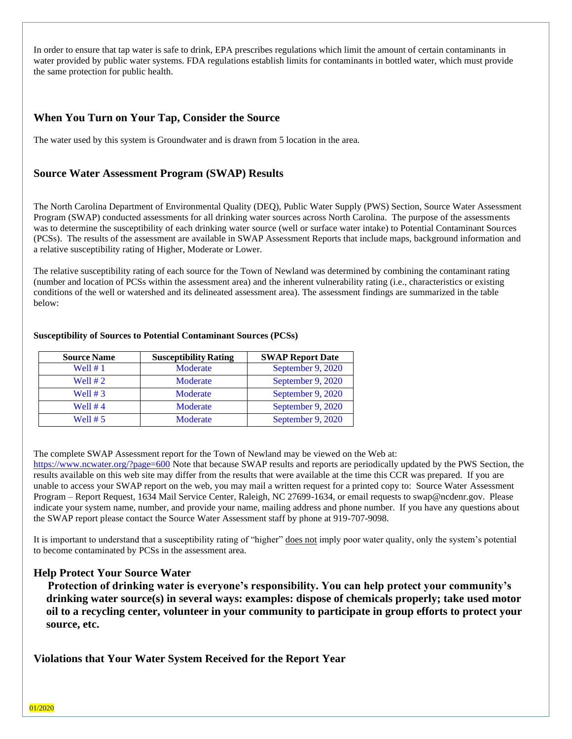In order to ensure that tap water is safe to drink, EPA prescribes regulations which limit the amount of certain contaminants in water provided by public water systems. FDA regulations establish limits for contaminants in bottled water, which must provide the same protection for public health.

# **When You Turn on Your Tap, Consider the Source**

The water used by this system is Groundwater and is drawn from 5 location in the area.

# **Source Water Assessment Program (SWAP) Results**

The North Carolina Department of Environmental Quality (DEQ), Public Water Supply (PWS) Section, Source Water Assessment Program (SWAP) conducted assessments for all drinking water sources across North Carolina. The purpose of the assessments was to determine the susceptibility of each drinking water source (well or surface water intake) to Potential Contaminant Sources (PCSs). The results of the assessment are available in SWAP Assessment Reports that include maps, background information and a relative susceptibility rating of Higher, Moderate or Lower.

The relative susceptibility rating of each source for the Town of Newland was determined by combining the contaminant rating (number and location of PCSs within the assessment area) and the inherent vulnerability rating (i.e., characteristics or existing conditions of the well or watershed and its delineated assessment area). The assessment findings are summarized in the table below:

#### **Susceptibility of Sources to Potential Contaminant Sources (PCSs)**

| <b>Source Name</b> | <b>Susceptibility Rating</b> | <b>SWAP Report Date</b> |
|--------------------|------------------------------|-------------------------|
| Well $# 1$         | Moderate                     | September 9, 2020       |
| Well $# 2$         | Moderate                     | September 9, 2020       |
| Well $# 3$         | Moderate                     | September 9, 2020       |
| Well $#4$          | Moderate                     | September 9, 2020       |
| Well $# 5$         | Moderate                     | September 9, 2020       |

The complete SWAP Assessment report for the Town of Newland may be viewed on the Web at:

<https://www.ncwater.org/?page=600> Note that because SWAP results and reports are periodically updated by the PWS Section, the results available on this web site may differ from the results that were available at the time this CCR was prepared. If you are unable to access your SWAP report on the web, you may mail a written request for a printed copy to: Source Water Assessment Program – Report Request, 1634 Mail Service Center, Raleigh, NC 27699-1634, or email requests to swap@ncdenr.gov. Please indicate your system name, number, and provide your name, mailing address and phone number. If you have any questions about the SWAP report please contact the Source Water Assessment staff by phone at 919-707-9098.

It is important to understand that a susceptibility rating of "higher" does not imply poor water quality, only the system's potential to become contaminated by PCSs in the assessment area.

## **Help Protect Your Source Water**

 **Protection of drinking water is everyone's responsibility. You can help protect your community's drinking water source(s) in several ways: examples: dispose of chemicals properly; take used motor oil to a recycling center, volunteer in your community to participate in group efforts to protect your source, etc.**

**Violations that Your Water System Received for the Report Year**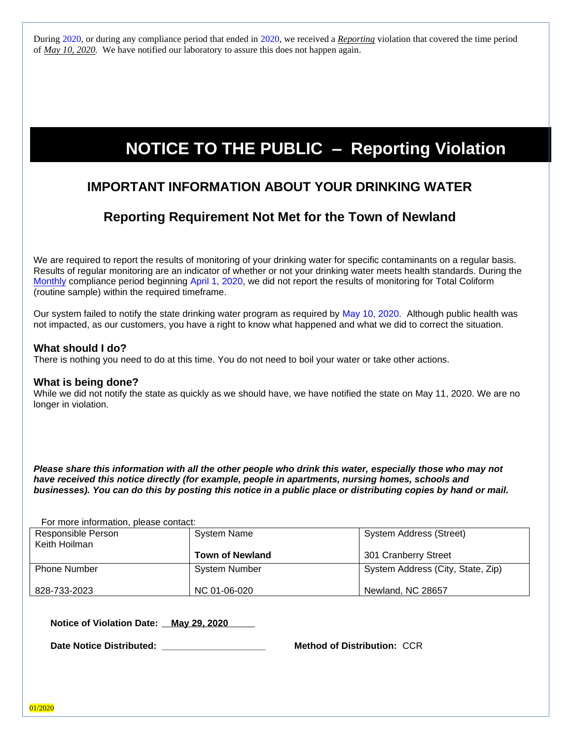During 2020, or during any compliance period that ended in 2020, we received a *Reporting* violation that covered the time period of *May 10, 2020.* We have notified our laboratory to assure this does not happen again.

# **NOTICE TO THE PUBLIC – Reporting Violation**

# **IMPORTANT INFORMATION ABOUT YOUR DRINKING WATER**

# **Reporting Requirement Not Met for the Town of Newland**

We are required to report the results of monitoring of your drinking water for specific contaminants on a regular basis. Results of regular monitoring are an indicator of whether or not your drinking water meets health standards. During the Monthly compliance period beginning April 1, 2020, we did not report the results of monitoring for Total Coliform (routine sample) within the required timeframe.

Our system failed to notify the state drinking water program as required by May 10, 2020. Although public health was not impacted, as our customers, you have a right to know what happened and what we did to correct the situation.

# **What should I do?**

There is nothing you need to do at this time. You do not need to boil your water or take other actions.

## **What is being done?**

While we did not notify the state as quickly as we should have, we have notified the state on May 11, 2020. We are no longer in violation.

*Please share this information with all the other people who drink this water, especially those who may not*  have received this notice directly (for example, people in apartments, nursing homes, schools and *businesses). You can do this by posting this notice in a public place or distributing copies by hand or mail.*

For more information, please contact:

| Responsible Person<br>Keith Hoilman | <b>System Name</b>     | <b>System Address (Street)</b>    |
|-------------------------------------|------------------------|-----------------------------------|
|                                     | <b>Town of Newland</b> | 301 Cranberry Street              |
| <b>Phone Number</b>                 | <b>System Number</b>   | System Address (City, State, Zip) |
| 828-733-2023                        | NC 01-06-020           | Newland, NC 28657                 |

Notice of Violation Date: May 29, 2020

**Date Notice Distributed: \_\_\_\_\_\_\_\_\_\_\_\_\_\_\_\_\_\_\_\_ Method of Distribution:** CCR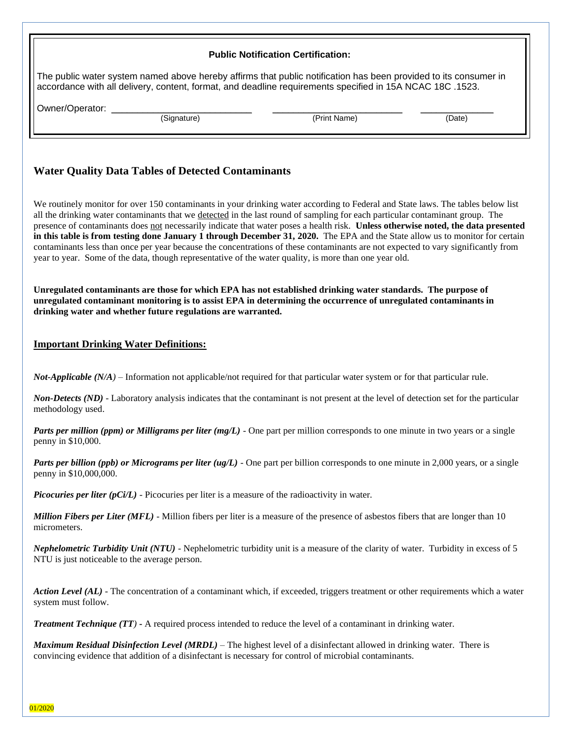|                                                                                                                                                                                                                                                                                                                                                                                                                                                                                                                                                                                                                                                                                                                                                                                        | <b>Public Notification Certification:</b> |        |  |  |  |  |  |  |
|----------------------------------------------------------------------------------------------------------------------------------------------------------------------------------------------------------------------------------------------------------------------------------------------------------------------------------------------------------------------------------------------------------------------------------------------------------------------------------------------------------------------------------------------------------------------------------------------------------------------------------------------------------------------------------------------------------------------------------------------------------------------------------------|-------------------------------------------|--------|--|--|--|--|--|--|
| The public water system named above hereby affirms that public notification has been provided to its consumer in<br>accordance with all delivery, content, format, and deadline requirements specified in 15A NCAC 18C .1523.                                                                                                                                                                                                                                                                                                                                                                                                                                                                                                                                                          |                                           |        |  |  |  |  |  |  |
| Owner/Operator:<br>(Signature)                                                                                                                                                                                                                                                                                                                                                                                                                                                                                                                                                                                                                                                                                                                                                         | (Print Name)                              | (Date) |  |  |  |  |  |  |
|                                                                                                                                                                                                                                                                                                                                                                                                                                                                                                                                                                                                                                                                                                                                                                                        |                                           |        |  |  |  |  |  |  |
| <b>Water Quality Data Tables of Detected Contaminants</b>                                                                                                                                                                                                                                                                                                                                                                                                                                                                                                                                                                                                                                                                                                                              |                                           |        |  |  |  |  |  |  |
| We routinely monitor for over 150 contaminants in your drinking water according to Federal and State laws. The tables below list<br>all the drinking water contaminants that we detected in the last round of sampling for each particular contaminant group. The<br>presence of contaminants does not necessarily indicate that water poses a health risk. Unless otherwise noted, the data presented<br>in this table is from testing done January 1 through December 31, 2020. The EPA and the State allow us to monitor for certain<br>contaminants less than once per year because the concentrations of these contaminants are not expected to vary significantly from<br>year to year. Some of the data, though representative of the water quality, is more than one year old. |                                           |        |  |  |  |  |  |  |
| Unregulated contaminants are those for which EPA has not established drinking water standards. The purpose of<br>unregulated contaminant monitoring is to assist EPA in determining the occurrence of unregulated contaminants in<br>drinking water and whether future regulations are warranted.                                                                                                                                                                                                                                                                                                                                                                                                                                                                                      |                                           |        |  |  |  |  |  |  |
| <b>Important Drinking Water Definitions:</b>                                                                                                                                                                                                                                                                                                                                                                                                                                                                                                                                                                                                                                                                                                                                           |                                           |        |  |  |  |  |  |  |
| <b>Not-Applicable</b> $(N/A)$ – Information not applicable/not required for that particular water system or for that particular rule.                                                                                                                                                                                                                                                                                                                                                                                                                                                                                                                                                                                                                                                  |                                           |        |  |  |  |  |  |  |
| <b>Non-Detects (ND)</b> - Laboratory analysis indicates that the contaminant is not present at the level of detection set for the particular<br>methodology used.                                                                                                                                                                                                                                                                                                                                                                                                                                                                                                                                                                                                                      |                                           |        |  |  |  |  |  |  |
| Parts per million (ppm) or Milligrams per liter (mg/L) - One part per million corresponds to one minute in two years or a single<br>penny in \$10,000.                                                                                                                                                                                                                                                                                                                                                                                                                                                                                                                                                                                                                                 |                                           |        |  |  |  |  |  |  |
| Parts per billion (ppb) or Micrograms per liter $(ug/L)$ - One part per billion corresponds to one minute in 2,000 years, or a single<br>penny in \$10,000,000.                                                                                                                                                                                                                                                                                                                                                                                                                                                                                                                                                                                                                        |                                           |        |  |  |  |  |  |  |
| <i>Picocuries per liter (pCi/L)</i> - Picocuries per liter is a measure of the radioactivity in water.                                                                                                                                                                                                                                                                                                                                                                                                                                                                                                                                                                                                                                                                                 |                                           |        |  |  |  |  |  |  |
| <b>Million Fibers per Liter (MFL)</b> - Million fibers per liter is a measure of the presence of asbestos fibers that are longer than 10<br>micrometers.                                                                                                                                                                                                                                                                                                                                                                                                                                                                                                                                                                                                                               |                                           |        |  |  |  |  |  |  |
| <b>Nephelometric Turbidity Unit (NTU)</b> - Nephelometric turbidity unit is a measure of the clarity of water. Turbidity in excess of 5<br>NTU is just noticeable to the average person.                                                                                                                                                                                                                                                                                                                                                                                                                                                                                                                                                                                               |                                           |        |  |  |  |  |  |  |
| Action Level (AL) - The concentration of a contaminant which, if exceeded, triggers treatment or other requirements which a water<br>system must follow.                                                                                                                                                                                                                                                                                                                                                                                                                                                                                                                                                                                                                               |                                           |        |  |  |  |  |  |  |
| <b>Treatment Technique (TT) -</b> A required process intended to reduce the level of a contaminant in drinking water.                                                                                                                                                                                                                                                                                                                                                                                                                                                                                                                                                                                                                                                                  |                                           |        |  |  |  |  |  |  |
| Maximum Residual Disinfection Level (MRDL) - The highest level of a disinfectant allowed in drinking water. There is<br>convincing evidence that addition of a disinfectant is necessary for control of microbial contaminants.                                                                                                                                                                                                                                                                                                                                                                                                                                                                                                                                                        |                                           |        |  |  |  |  |  |  |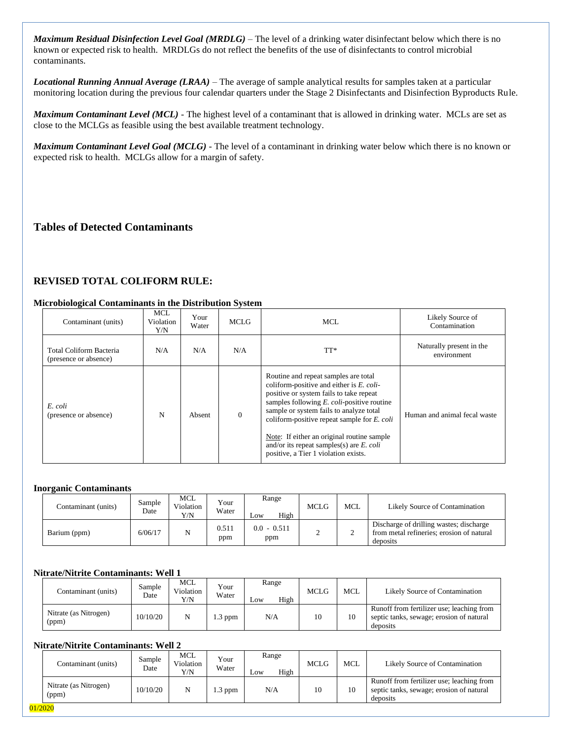*Maximum Residual Disinfection Level Goal (MRDLG)* – The level of a drinking water disinfectant below which there is no known or expected risk to health. MRDLGs do not reflect the benefits of the use of disinfectants to control microbial contaminants.

*Locational Running Annual Average (LRAA)* – The average of sample analytical results for samples taken at a particular monitoring location during the previous four calendar quarters under the Stage 2 Disinfectants and Disinfection Byproducts Rule.

*Maximum Contaminant Level (MCL)* - The highest level of a contaminant that is allowed in drinking water. MCLs are set as close to the MCLGs as feasible using the best available treatment technology.

*Maximum Contaminant Level Goal (MCLG)* - The level of a contaminant in drinking water below which there is no known or expected risk to health. MCLGs allow for a margin of safety.

# **Tables of Detected Contaminants**

#### **REVISED TOTAL COLIFORM RULE:**

#### **Microbiological Contaminants in the Distribution System**

| Contaminant (units)                              | <b>MCL</b><br>Violation<br>Y/N | Your<br>Water | <b>MCLG</b> | MCL.                                                                                                                                                                                                                                                                                                                                                                                                                      | Likely Source of<br>Contamination       |
|--------------------------------------------------|--------------------------------|---------------|-------------|---------------------------------------------------------------------------------------------------------------------------------------------------------------------------------------------------------------------------------------------------------------------------------------------------------------------------------------------------------------------------------------------------------------------------|-----------------------------------------|
| Total Coliform Bacteria<br>(presence or absence) | N/A                            | N/A           | N/A         | $TT^*$                                                                                                                                                                                                                                                                                                                                                                                                                    | Naturally present in the<br>environment |
| E. coli<br>(presence or absence)                 | N                              | Absent        | $\theta$    | Routine and repeat samples are total<br>coliform-positive and either is $E$ . coli-<br>positive or system fails to take repeat<br>samples following $E$ . <i>coli</i> -positive routine<br>sample or system fails to analyze total<br>coliform-positive repeat sample for $E$ . coli<br>Note: If either an original routine sample<br>and/or its repeat samples(s) are $E$ . coli<br>positive, a Tier 1 violation exists. | Human and animal fecal waste            |

#### **Inorganic Contaminants**

| Contaminant (units) | Sample<br>Date | MCL<br>Violation<br>Y/N | Your<br>Water | Range<br>High<br>Low | MCLG | <b>MCL</b> | Likely Source of Contamination                                                                   |
|---------------------|----------------|-------------------------|---------------|----------------------|------|------------|--------------------------------------------------------------------------------------------------|
| Barium (ppm)        | 6/06/17        | N                       | 0.511<br>ppm  | $0.0 - 0.511$<br>ppm |      |            | Discharge of drilling wastes; discharge<br>from metal refineries: erosion of natural<br>deposits |

#### **Nitrate/Nitrite Contaminants: Well 1**

| Contaminant (units)            | Sample<br>Date | MCL<br>Violation<br>Y/N | Your<br>Water | Range<br>High<br>$L$ <sub>O</sub> W | <b>MCLG</b> | <b>MCL</b> | Likely Source of Contamination                                                                    |
|--------------------------------|----------------|-------------------------|---------------|-------------------------------------|-------------|------------|---------------------------------------------------------------------------------------------------|
| Nitrate (as Nitrogen)<br>(ppm) | 10/10/20       | N                       | $1.3$ ppm     | N/A                                 | 10          | 10         | Runoff from fertilizer use; leaching from<br>septic tanks, sewage; erosion of natural<br>deposits |

#### **Nitrate/Nitrite Contaminants: Well 2**

| Contaminant (units)                      | Date     | Violation<br>Y/N | Water  | High<br>Low | MCLG | MCL | Likely Source of Contamination                                                                    |
|------------------------------------------|----------|------------------|--------|-------------|------|-----|---------------------------------------------------------------------------------------------------|
| Nitrate (as Nitrogen)<br>(ppm)<br>1/2020 | 10/10/20 | N                | .3 ppm | N/A         | 10   | 10  | Runoff from fertilizer use; leaching from<br>septic tanks, sewage; erosion of natural<br>deposits |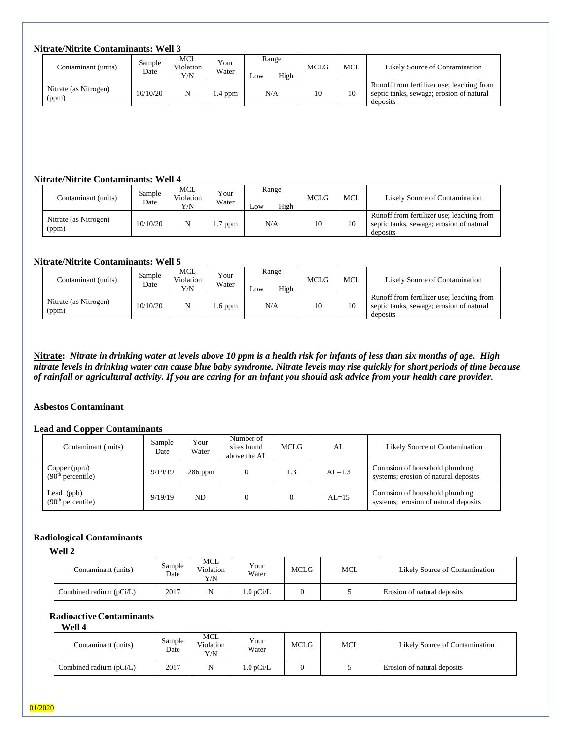## **Nitrate/Nitrite Contaminants: Well 3**

| Contaminant (units)            | Sample<br>Date | MCL<br>Violation<br>Y/N | Your<br>Water | Range<br>High<br>LOW | <b>MCLG</b> | <b>MCL</b> | Likely Source of Contamination                                                                    |
|--------------------------------|----------------|-------------------------|---------------|----------------------|-------------|------------|---------------------------------------------------------------------------------------------------|
| Nitrate (as Nitrogen)<br>(ppm) | 10/10/20       | N                       | l .4 ppm      | N/A                  | 10          | 10         | Runoff from fertilizer use; leaching from<br>septic tanks, sewage; erosion of natural<br>deposits |

#### **Nitrate/Nitrite Contaminants: Well 4**

| Contaminant (units)            | Sample<br>Date | <b>MCL</b><br>Violation<br>Y/N | Your<br>Water | Range<br>High<br>LOW | MCLG | MCL | Likely Source of Contamination                                                                    |
|--------------------------------|----------------|--------------------------------|---------------|----------------------|------|-----|---------------------------------------------------------------------------------------------------|
| Nitrate (as Nitrogen)<br>(ppm) | 10/10/20       | N                              | $1.7$ ppm     | N/A                  | 10   |     | Runoff from fertilizer use; leaching from<br>septic tanks, sewage; erosion of natural<br>deposits |

#### **Nitrate/Nitrite Contaminants: Well 5**

| Contaminant (units)            | Sample<br>Date | <b>MCL</b><br>Violation<br>Y/N | Your<br>Water  | Range<br>High<br>Low | MCLG | <b>MCL</b> | Likely Source of Contamination                                                                    |
|--------------------------------|----------------|--------------------------------|----------------|----------------------|------|------------|---------------------------------------------------------------------------------------------------|
| Nitrate (as Nitrogen)<br>(ppm) | 10/10/20       | N                              | $\ldots$ 6 ppm | N/A                  | 10   | 10         | Runoff from fertilizer use; leaching from<br>septic tanks, sewage; erosion of natural<br>deposits |

**Nitrate:** *Nitrate in drinking water at levels above 10 ppm is a health risk for infants of less than six months of age. High nitrate levels in drinking water can cause blue baby syndrome. Nitrate levels may rise quickly for short periods of time because of rainfall or agricultural activity. If you are caring for an infant you should ask advice from your health care provider.* 

#### **Asbestos Contaminant**

#### **Lead and Copper Contaminants**

| Contaminant (units)                           | Sample<br>Date | Your<br>Water | Number of<br>sites found<br>above the AL | MCLG. | AL       | Likely Source of Contamination                                          |
|-----------------------------------------------|----------------|---------------|------------------------------------------|-------|----------|-------------------------------------------------------------------------|
| Copper (ppm)<br>(90 <sup>th</sup> percentile) | 9/19/19        | $.286$ ppm    |                                          | 1.3   | $AL=1.3$ | Corrosion of household plumbing<br>systems; erosion of natural deposits |
| Lead (ppb)<br>(90 <sup>th</sup> percentile)   | 9/19/19        | ND.           |                                          |       | $AL=15$  | Corrosion of household plumbing<br>systems; erosion of natural deposits |

#### **Radiological Contaminants**

**Well 2**

| Contaminant (units)       | Sample<br>Date | MCL<br>Violation<br>Y/N | Your<br>Water          | <b>MCLG</b> | MCL | Likely Source of Contamination |
|---------------------------|----------------|-------------------------|------------------------|-------------|-----|--------------------------------|
| Combined radium $(pCi/L)$ | 2017           | N                       | $1.0 \,\mathrm{pCi/L}$ |             |     | Erosion of natural deposits    |

# **RadioactiveContaminants**

**Well 4**

| Contaminant (units)       | Sample<br>Date | MCL<br>Violation<br>Y/N | Your<br>Water | MCLG | <b>MCL</b> | Likely Source of Contamination |
|---------------------------|----------------|-------------------------|---------------|------|------------|--------------------------------|
| Combined radium $(pCi/L)$ | 2017           |                         | .0 $pCi/L$    |      |            | Erosion of natural deposits    |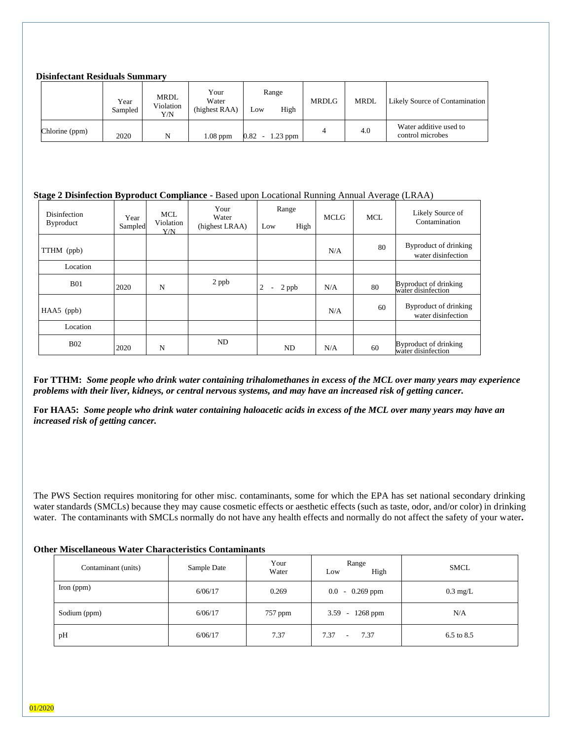#### **Disinfectant Residuals Summary**

|                | Year<br>Sampled | MRDL<br>Violation<br>Y/N | Your<br>Water<br>(highest RAA) | Range<br>High<br>Low   | <b>MRDLG</b> | <b>MRDL</b> | Likely Source of Contamination             |
|----------------|-----------------|--------------------------|--------------------------------|------------------------|--------------|-------------|--------------------------------------------|
| Chlorine (ppm) | 2020            | N                        | $1.08$ ppm                     | $0.82 -$<br>$1.23$ ppm |              | 4.0         | Water additive used to<br>control microbes |

#### **Stage 2 Disinfection Byproduct Compliance -** Based upon Locational Running Annual Average (LRAA)

| Disinfection<br><b>Byproduct</b> | Year<br>Sampled | MCL.<br>Violation<br>Y/N | Your<br>Water<br>(highest LRAA) | Range<br>High<br>Low                   | <b>MCLG</b> | <b>MCL</b> | Likely Source of<br>Contamination           |
|----------------------------------|-----------------|--------------------------|---------------------------------|----------------------------------------|-------------|------------|---------------------------------------------|
| TTHM (ppb)                       |                 |                          |                                 |                                        | N/A         | 80         | Byproduct of drinking<br>water disinfection |
| Location                         |                 |                          |                                 |                                        |             |            |                                             |
| <b>B01</b>                       | 2020            | N                        | 2 ppb                           | 2<br>2 ppb<br>$\overline{\phantom{a}}$ | N/A         | 80         | Byproduct of drinking<br>water disinfection |
| $HAA5$ (ppb)                     |                 |                          |                                 |                                        | N/A         | 60         | Byproduct of drinking<br>water disinfection |
| Location                         |                 |                          |                                 |                                        |             |            |                                             |
| <b>B02</b>                       | 2020            | N                        | <b>ND</b>                       | ND                                     | N/A         | 60         | Byproduct of drinking<br>water disinfection |

**For TTHM:** *Some people who drink water containing trihalomethanes in excess of the MCL over many years may experience problems with their liver, kidneys, or central nervous systems, and may have an increased risk of getting cancer.*

**For HAA5:** *Some people who drink water containing haloacetic acids in excess of the MCL over many years may have an increased risk of getting cancer.*

The PWS Section requires monitoring for other misc. contaminants, some for which the EPA has set national secondary drinking water standards (SMCLs) because they may cause cosmetic effects or aesthetic effects (such as taste, odor, and/or color) in drinking water. The contaminants with SMCLs normally do not have any health effects and normally do not affect the safety of your water**.**

#### **Other Miscellaneous Water Characteristics Contaminants**

| Contaminant (units) | Sample Date | Your<br>Water | Range<br>High<br>Low    | SMCL               |
|---------------------|-------------|---------------|-------------------------|--------------------|
| Iron $(ppm)$        | 6/06/17     | 0.269         | $-0.269$ ppm<br>$0.0\,$ | $0.3 \text{ mg/L}$ |
| Sodium (ppm)        | 6/06/17     | 757 ppm       | $1268$ ppm<br>$3.59 -$  | N/A                |
| pH                  | 6/06/17     | 7.37          | 7.37<br>7.37<br>$\sim$  | 6.5 to 8.5         |